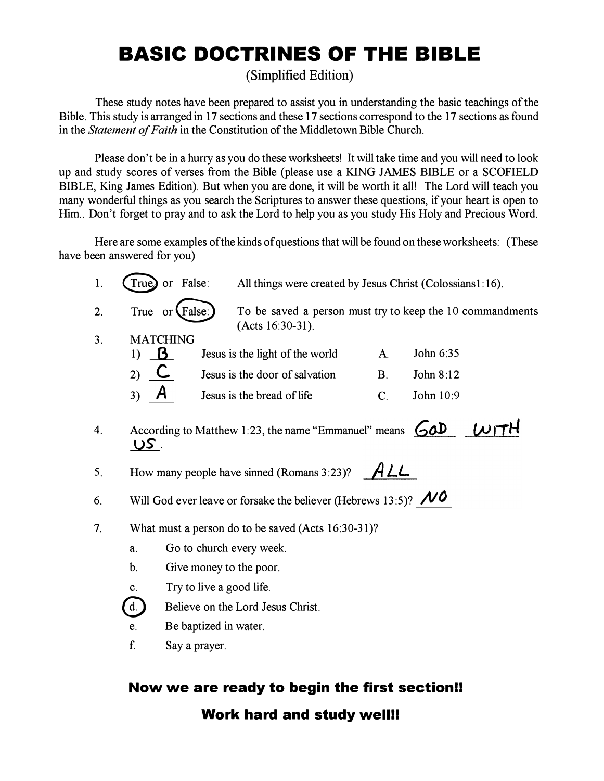# BASIC DOCTRINES OF THE BIBLE

(Simplified Edition)

These study notes have been prepared to assist you in understanding the basic teachings of the Bible. This study is arranged in 17 sections and these 17 sections correspond to the 17 sections as found in the Statement of Faith in the Constitution of the Middletown Bible Church.

Please don't be in a hurry as you do these worksheets! It will take time and you will need to look up and study scores of verses from the Bible (please use a KING JAMES BIBLE or a SCOFIELD BIBLE, King James Edition). But when you are done, it will be worth it all! The Lord will teach you many wonderful things as you search the Scriptures to answer these questions, if your heart is open to Him.. Don't forget to pray and to ask the Lord to help you as you study His Holy and Precious Word.

Here are some examples of the kinds of questions that will be found on these worksheets: (These have been answered for you)

| 1. | True)                                                                               | or False:                                                                                            | All things were created by Jesus Christ (Colossians1:16).                  |                |           |  |
|----|-------------------------------------------------------------------------------------|------------------------------------------------------------------------------------------------------|----------------------------------------------------------------------------|----------------|-----------|--|
| 2. |                                                                                     | To be saved a person must try to keep the 10 commandments<br>True or $(False)$<br>$(Acts 16:30-31).$ |                                                                            |                |           |  |
| 3. | <b>MATCHING</b><br><b>B</b><br>1)                                                   |                                                                                                      | Jesus is the light of the world                                            | $\mathbf{A}$ . | John 6:35 |  |
|    | C<br>2)                                                                             |                                                                                                      | Jesus is the door of salvation                                             | B <sub>1</sub> | John 8:12 |  |
|    | 3)                                                                                  |                                                                                                      | Jesus is the bread of life                                                 | $C_{\cdot}$    | John 10:9 |  |
| 4. | <u>US .</u>                                                                         |                                                                                                      | According to Matthew 1:23, the name "Emmanuel" means $\bigcirc$ $\partial$ |                |           |  |
| 5. | ALL<br>How many people have sinned (Romans 3:23)?                                   |                                                                                                      |                                                                            |                |           |  |
| 6. | Will God ever leave or forsake the believer (Hebrews 13:5)? $\mathcal{N}^{\bullet}$ |                                                                                                      |                                                                            |                |           |  |
| 7. | What must a person do to be saved (Acts 16:30-31)?                                  |                                                                                                      |                                                                            |                |           |  |
|    | Go to church every week.<br>a.                                                      |                                                                                                      |                                                                            |                |           |  |
|    | $\mathbf b$ .<br>Give money to the poor.                                            |                                                                                                      |                                                                            |                |           |  |
|    | Try to live a good life.<br>C.                                                      |                                                                                                      |                                                                            |                |           |  |
|    | Believe on the Lord Jesus Christ.<br>$\mathbf{d}$ .                                 |                                                                                                      |                                                                            |                |           |  |
|    | e.                                                                                  | Be baptized in water.                                                                                |                                                                            |                |           |  |
|    | f.                                                                                  | Say a prayer.                                                                                        |                                                                            |                |           |  |
|    |                                                                                     |                                                                                                      |                                                                            |                |           |  |

#### Now we are ready to begin the first section!! Work hard and study well!!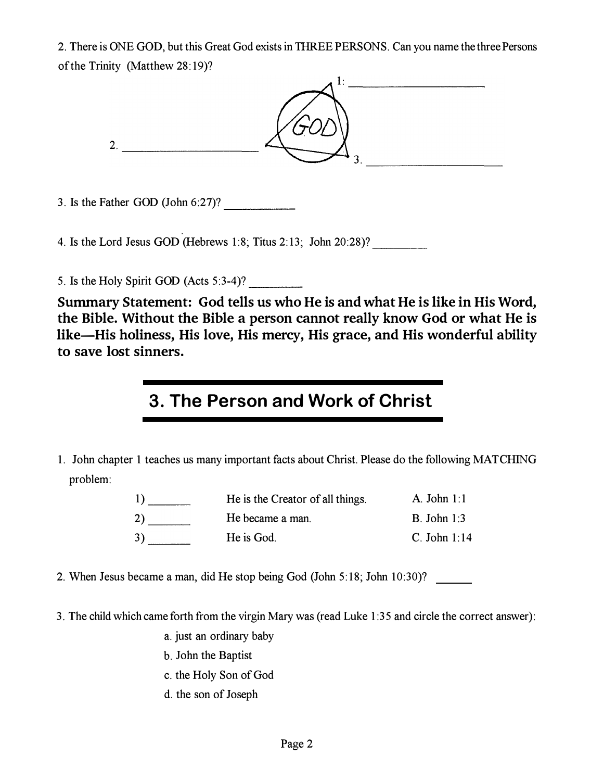2. There is ONE GOD, but this Great God exists in THREE PERSONS. Can you name the three Persons ofthe Trinity (Matthew 28:19)?



3. Is the Father GOD (John  $6:27$ )?

4. Is the Lord Jesus GOD (Hebrews 1:8; Titus 2:13; John 20:28)? \_\_\_\_\_\_\_\_\_\_\_\_\_\_\_\_

5. Is the Holy Spirit GOD (Acts 5:3-4)?

Summary Statement: God tells us who He is and what He is like in His Word, the Bible. Without the Bible a person cannot really know God or what He is like-His holiness, His love, His mercy, His grace, and His wonderful ability to save lost sinners.

#### 3. The Person and Work of Christ

1. John chapter 1 teaches us many important facts about Christ. Please do the following MATCHING problem:

| $\left  \right $ | He is the Creator of all things. | A. John $1:1$  |
|------------------|----------------------------------|----------------|
| 2)               | He became a man.                 | B. John $1:3$  |
| 3)               | He is God.                       | C. John $1:14$ |

- 2. When Jesus became a man, did He stop being God (John 5: 18; John 10:30)?
- 3. The child which came forth from the virgin Mary was (read Luke 1 :35 and circle the correct answer):
	- a. just an ordinary baby
	- b. John the Baptist
	- c. the Holy Son of God
	- d. the son of Joseph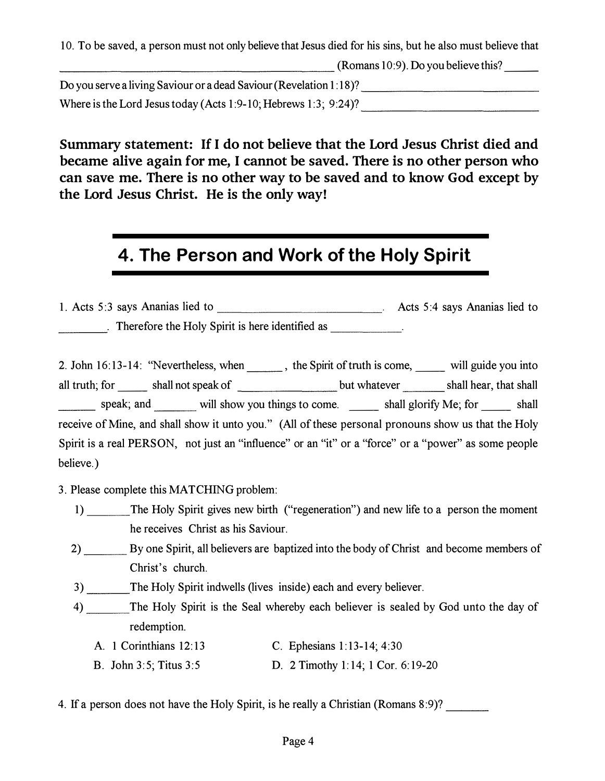10. To be saved, a person must not only believe that Jesus died for his sins, but he also must believe that (Romans 10:9). Do you believe this? \_\_ Do you serve a living Saviour or a dead Saviour (Revelation 1: 18)? \_\_\_\_\_\_\_\_\_\_\_\_ \_ Where is the Lord Jesus today (Acts 1:9-10; Hebrews 1:3; 9:24)?  $\overline{\qquad \qquad \qquad \qquad }$ 

10. To be saved, a person must not only believe that Jesus died for his sins, but he also must<br>
Do you serve a living Saviour or a dead Saviour (Revelation 1:18)?<br>
Where is the Lord Jesus today (Acts 1:9-10; Hebrews 1:3; 9 Summary statement: If I do not believe that the Lord Jesus Christ died and became alive again for me, I cannot be saved. There is no other person who can save me. There is no other way to be saved and to know God except by the Lord Jesus Christ. He is the only way!

#### 4. The Person and Work of the Holy Spirit

1. Acts 5:3 says Ananias lied to \_\_\_\_\_\_\_\_\_\_\_\_\_\_\_\_\_\_\_\_\_\_\_\_\_\_\_\_. Acts 5:4 says Ananias lied to . Therefore the Holy Spirit is here identified as \_\_\_\_\_\_\_\_\_\_\_\_\_\_\_\_\_\_\_\_\_\_\_\_\_\_\_\_\_\_

2. John 16:13-14: "Nevertheless, when \_\_\_\_\_\_, the Spirit of truth is come, \_\_\_\_\_ will guide you into all truth; for \_\_ shall not speak of but whatever shall hear, that shall speak; and will show you things to come. \_\_\_ shall glorify Me; for \_\_\_ shall receive of Mine, and shall show it unto you." (All of these personal pronouns show us that the Holy Spirit is a real PERSON, not just an "influence" or an "it" or a "force" or a "power" as some people believe.)

3. Please complete this MATCHING problem:

- 1) The Holy Spirit gives new birth ("regeneration") and new life to a person the moment he receives Christ as his Saviour.
- 2) By one Spirit, all believers are baptized into the body of Christ and become members of Christ's church.

3) The Holy Spirit indwells (lives inside) each and every believer.

4) The Holy Spirit is the Seal whereby each believer is sealed by God unto the day of redemption.

| A. 1 Corinthians 12:13 | C. Ephesians $1:13-14$ ; $4:30$ |
|------------------------|---------------------------------|
|                        |                                 |

B. John 3:5; Titus 3:5 D. 2 Timothy 1:14; 1 Cor. 6:19-20

4. If a person does not have the Holy Spirit, is he really a Christian (Romans 8:9)?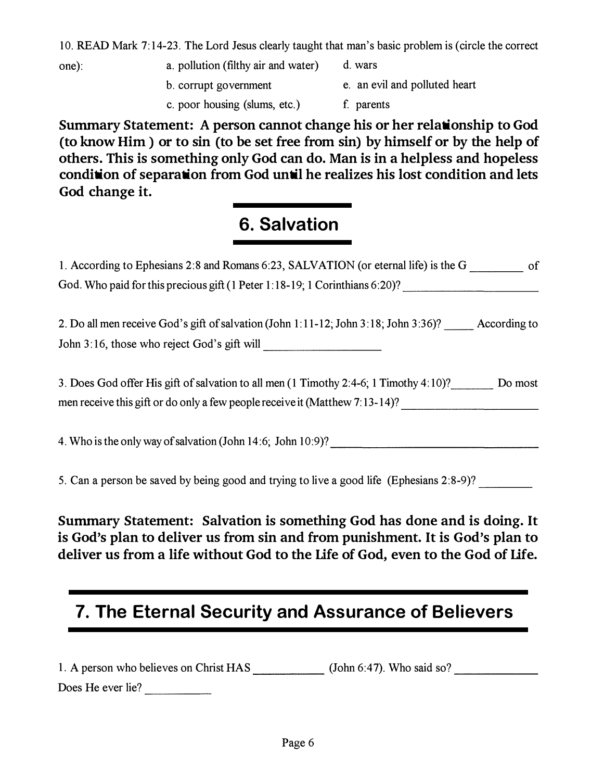10. READ Mark 7: 14-23. The Lord Jesus clearly taught that man's basic problem is (circle the correct

- one): a. pollution (filthy air and water) d. wars b. corrupt government e. an evil and polluted heart
	- c. poor housing (slums, etc.)
- f. parents

Summary Statement: A person cannot change his or her relationship to God (to know Him ) or to sin (to be set free from sin) by himself or by the help of others. This is something only God can do. Man is in a helpless and hopeless condition of separation from God until he realizes his lost condition and lets God change it.

# 6. Salvation

| 1. According to Ephesians 2:8 and Romans 6:23, SALVATION (or eternal life) is the G<br>of           |
|-----------------------------------------------------------------------------------------------------|
| God. Who paid for this precious gift (1 Peter 1:18-19; 1 Corinthians 6:20)?                         |
|                                                                                                     |
| 2. Do all men receive God's gift of salvation (John 1:11-12; John 3:18; John 3:36)?<br>According to |
| John 3:16, those who reject God's gift will                                                         |
|                                                                                                     |
| 3. Does God offer His gift of salvation to all men (1 Timothy 2:4-6; 1 Timothy 4:10)?<br>Do most    |
| men receive this gift or do only a few people receive it (Matthew 7:13-14)?                         |
|                                                                                                     |

4. Who is the only way of salvation (John 14:6; John 10:9)?

5. Can a person be saved by being good and trying to live a good life (Ephesians 2:8-9)?

Summary Statement: Salvation is something God has done and is doing. It is God's plan to deliver us from sin and from punishment. It is God's plan to deliver us from a life without God to the Life of God, even to the God of Life.

# 7. The Eternal Security and Assurance of Believers

| 1. A person who believes on Christ HAS | (John $6:47$ ). Who said so? |
|----------------------------------------|------------------------------|
| Does He ever lie?                      |                              |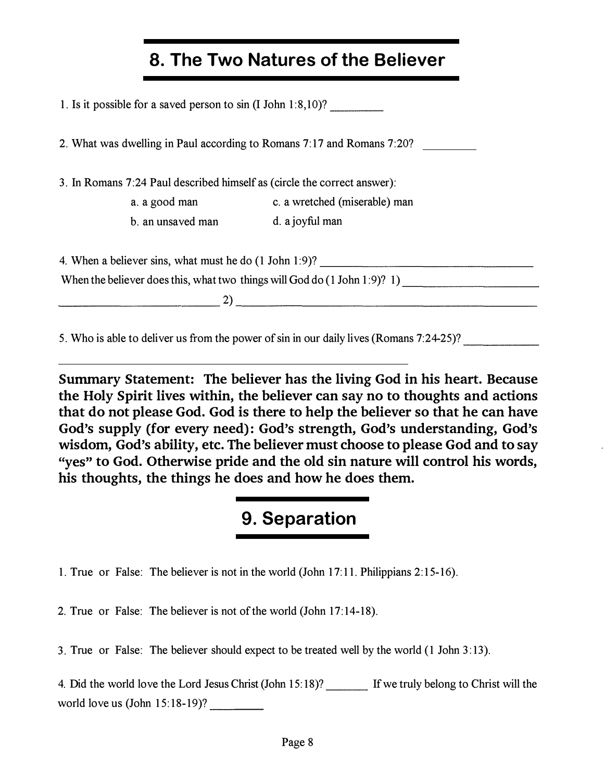## 8. The Two Natures of the Believer

| 1. Is it possible for a saved person to $sin (I John 1:8,10)?$                                                   |                                                                                         |
|------------------------------------------------------------------------------------------------------------------|-----------------------------------------------------------------------------------------|
|                                                                                                                  |                                                                                         |
|                                                                                                                  | 2. What was dwelling in Paul according to Romans 7:17 and Romans 7:20?                  |
| 3. In Romans 7:24 Paul described himself as (circle the correct answer):                                         |                                                                                         |
|                                                                                                                  | a. a good man c. a wretched (miserable) man                                             |
| b. an unsaved man d. a joyful man                                                                                |                                                                                         |
|                                                                                                                  |                                                                                         |
|                                                                                                                  |                                                                                         |
|                                                                                                                  | $\overline{\phantom{a}2)}$                                                              |
|                                                                                                                  | 5. Who is able to deliver us from the power of sin in our daily lives (Romans 7:24-25)? |
| and the control of the control of the control of the control of the control of the control of the control of the | Summary Statement: The believer has the living God in his heart. Because                |
|                                                                                                                  | the Holy Spirit lives within, the believer can say no to thoughts and actions           |
|                                                                                                                  | that do not please God. God is there to help the believer so that he can have           |

Summary Statement: The believer has the living God in his heart. Because the Holy Spirit lives within, the believer can say no to thoughts and actions that do not please God. God is there to help the believer so that he can have God's supply (for every need): God's strength, God's understanding, God's wisdom, God's ability, etc. The believer must choose to please God and to say "yes" to God. Otherwise pride and the old sin nature will control his words, his thoughts, the things he does and how he does them.

#### 9. Separation

1. True or False: The believer is not in the world (John 17: 11. Philippians 2: 15-16).

2. True or False: The believer is not of the world (John 17:14-18).

3. True or False: The believer should expect to be treated well by the world  $(1$  John 3:13).

4. Did the world love the Lord Jesus Christ (John 15:18)? If we truly belong to Christ will the world love us  $(John 15:18-19)?$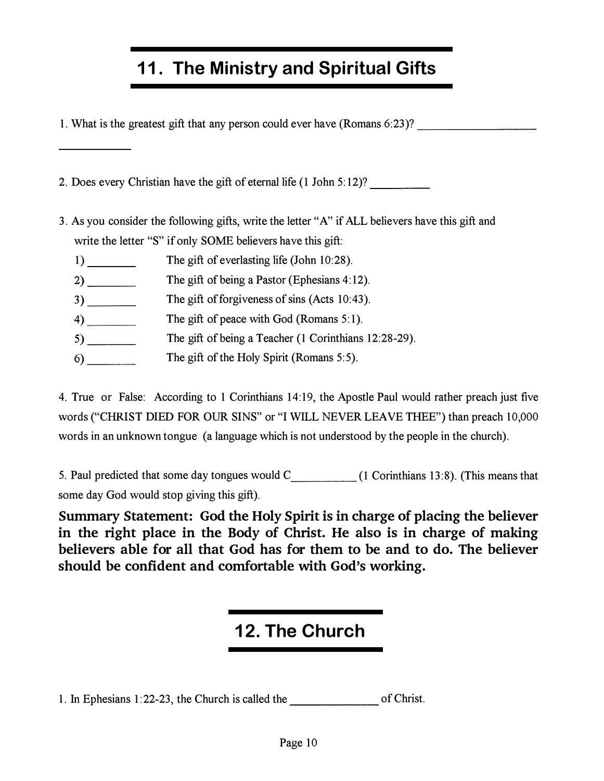# 11. The Ministry and Spiritual Gifts

1. What is the greatest gift that any person could ever have (Romans 6:23)?

2. Does every Christian have the gift of eternal life  $(1$  John  $5:12$ ?

- 3. As you consider the following gifts, write the letter "A" if ALL believers have this gift and write the letter "S" if only SOME believers have this gift:
	- 1) The gift of everlasting life (John 10:28).
	- $2)$ The gift of being a Pastor (Ephesians 4:12).
	- 3) \_\_ \_ The gift of forgiveness of sins (Acts 10:43).
	- $4)$ The gift of peace with God (Romans  $5:1$ ).
	- $5)$ The gift of being a Teacher (1 Corinthians 12:28-29).
	- $6)$ The gift of the Holy Spirit (Romans 5:5).

4. True or False: According to 1 Corinthians 14:19, the Apostle Paul would rather preach just five words ("CHRIST DIED FOR OUR SINS" or "I WILL NEVER LEA VE THEE") than preach 10,000 words in an unknown tongue (a language which is not understood by the people in the church).

5. Paul predicted that some day tongues would C (1 Corinthians 13:8). (This means that some day God would stop giving this gift).

Summary Statement: God the Holy Spirit is in charge of placing the believer in the right place in the Body of Christ. He also is in charge of making believers able for all that God has for them to be and to do. The believer should be confident and comfortable with God's working.

## 12. The Church

**12. The Church**  $\frac{1}{22-23}$ , the Church is called the  $\frac{1}{22-23}$  of Christ.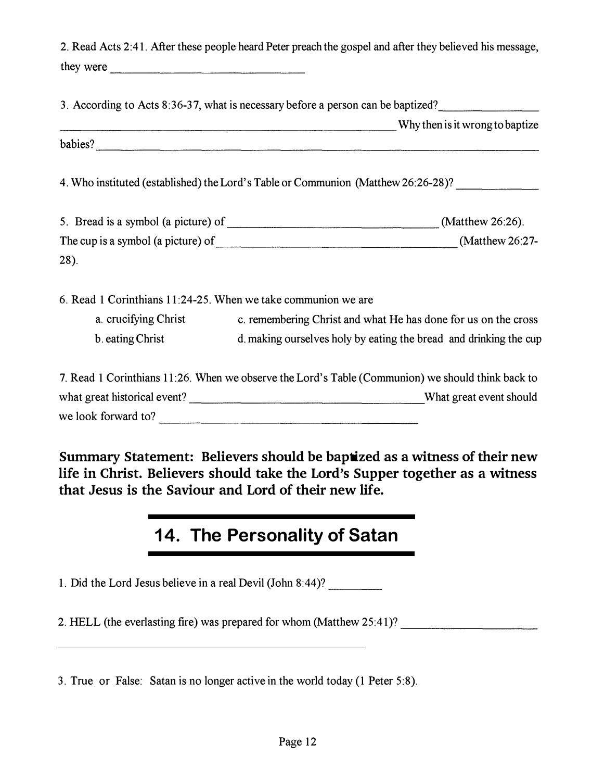|                                                               | 2. Read Acts 2:41. After these people heard Peter preach the gospel and after they believed his message,                                                                                                                                                                 |
|---------------------------------------------------------------|--------------------------------------------------------------------------------------------------------------------------------------------------------------------------------------------------------------------------------------------------------------------------|
| they were                                                     |                                                                                                                                                                                                                                                                          |
|                                                               | 3. According to Acts 8:36-37, what is necessary before a person can be baptized?                                                                                                                                                                                         |
|                                                               | Why then is it wrong to baptize<br>babies?<br><u> and</u> in the contract of the contract of the contract of the contract of the contract of the contract of the contract of the contract of the contract of the contract of the contract of the contract of the contrac |
|                                                               | 4. Who instituted (established) the Lord's Table or Communion (Matthew 26:26-28)?                                                                                                                                                                                        |
|                                                               |                                                                                                                                                                                                                                                                          |
| 28).                                                          |                                                                                                                                                                                                                                                                          |
|                                                               |                                                                                                                                                                                                                                                                          |
| 6. Read 1 Corinthians 11:24-25. When we take communion we are | a. crucifying Christ c. remembering Christ and what He has done for us on the cross                                                                                                                                                                                      |
|                                                               | b. eating Christ d. making ourselves holy by eating the bread and drinking the cup                                                                                                                                                                                       |
|                                                               | 7. Read 1 Corinthians 11:26. When we observe the Lord's Table (Communion) we should think back to                                                                                                                                                                        |
|                                                               | we look forward to?                                                                                                                                                                                                                                                      |
|                                                               |                                                                                                                                                                                                                                                                          |
|                                                               | Summary Statement: Believers should be baptized as a witness of their new<br>life in Christ. Believers should take the Lord's Supper together as a witness                                                                                                               |
| that Jesus is the Saviour and Lord of their new life.         |                                                                                                                                                                                                                                                                          |
|                                                               |                                                                                                                                                                                                                                                                          |
|                                                               | 14. The Personality of Satan                                                                                                                                                                                                                                             |
| 1. Did the Lord Jesus believe in a real Devil (John 8:44)?    |                                                                                                                                                                                                                                                                          |
|                                                               | 2. HELL (the everlasting fire) was prepared for whom (Matthew 25:41)?                                                                                                                                                                                                    |

## 14. The Personality of Satan

3. True or False: Satan is no longer active in the world today (1 Peter 5:8).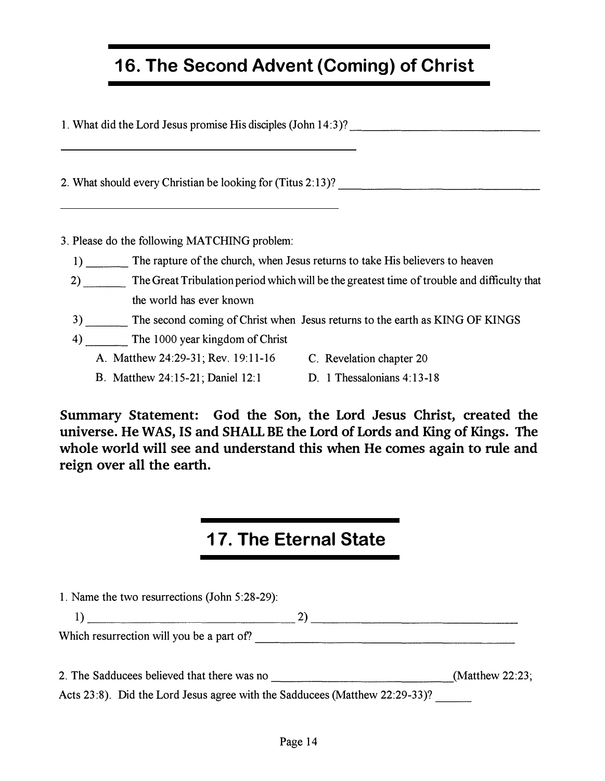#### 16. The Second Advent (Coming) of Christ

1. What did the Lord Jesus promise His disciples (John 14:3)?

2. What should every Christian be looking for (Titus 2:13)?

3. Please do the following MATCHING problem:

- 1) The rapture of the church, when Jesus returns to take His believers to heaven
- 2) The Great Tribulation period which will be the greatest time of trouble and difficulty that the world has ever known
- 3) The second coming of Christ when Jesus returns to the earth as KING OF KINGS
- 4) The 1000 year kingdom of Christ
	- A. Matthew 24:29-31; Rev. 19:11-16 C. Revelation chapter 20
		-
	- B. Matthew 24:15-21; Daniel 12:1 D. 1 Thessalonians 4:13-18
		-

#### 17. The Eternal State

| Summary Statement: God the Son, the Lord Jesus Christ, created the<br>universe. He WAS, IS and SHALL BE the Lord of Lords and King of Kings. The<br>whole world will see and understand this when He comes again to rule and<br>reign over all the earth. |                                                                                                                                                                                                                                                                                                                     |  |  |
|-----------------------------------------------------------------------------------------------------------------------------------------------------------------------------------------------------------------------------------------------------------|---------------------------------------------------------------------------------------------------------------------------------------------------------------------------------------------------------------------------------------------------------------------------------------------------------------------|--|--|
|                                                                                                                                                                                                                                                           |                                                                                                                                                                                                                                                                                                                     |  |  |
|                                                                                                                                                                                                                                                           | <b>17. The Eternal State</b>                                                                                                                                                                                                                                                                                        |  |  |
| 1. Name the two resurrections (John 5:28-29):                                                                                                                                                                                                             | $\frac{1}{2}$ $\frac{2}{2}$ $\frac{1}{2}$ $\frac{1}{2}$ $\frac{1}{2}$ $\frac{1}{2}$ $\frac{1}{2}$ $\frac{1}{2}$ $\frac{1}{2}$ $\frac{1}{2}$ $\frac{1}{2}$ $\frac{1}{2}$ $\frac{1}{2}$ $\frac{1}{2}$ $\frac{1}{2}$ $\frac{1}{2}$ $\frac{1}{2}$ $\frac{1}{2}$ $\frac{1}{2}$ $\frac{1}{2}$ $\frac{1}{2}$ $\frac{1}{2}$ |  |  |
|                                                                                                                                                                                                                                                           |                                                                                                                                                                                                                                                                                                                     |  |  |
|                                                                                                                                                                                                                                                           | Acts 23:8). Did the Lord Jesus agree with the Sadducees (Matthew 22:29-33)?                                                                                                                                                                                                                                         |  |  |
|                                                                                                                                                                                                                                                           | Page 14                                                                                                                                                                                                                                                                                                             |  |  |
|                                                                                                                                                                                                                                                           |                                                                                                                                                                                                                                                                                                                     |  |  |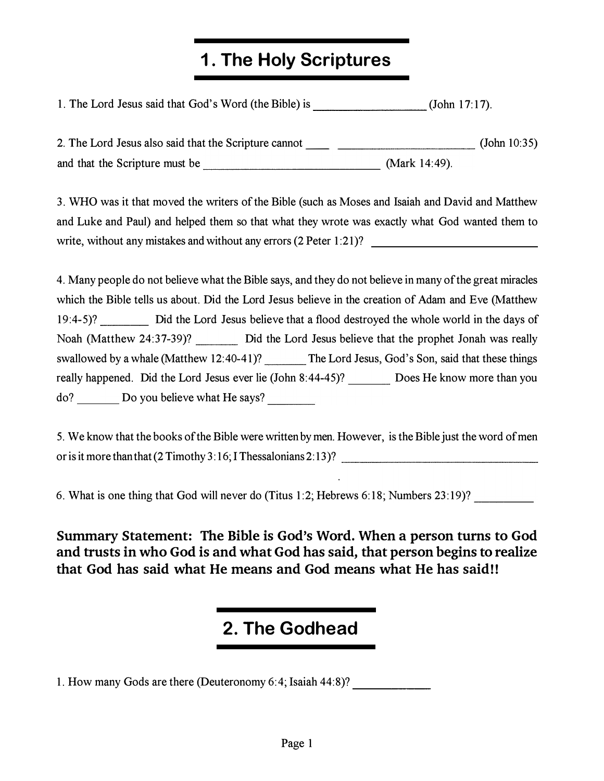# 1. The Holy Scriptures

1. The Lord Jesus said that God's Word (the Bible) is \_\_\_\_\_\_\_\_ (John 17: 17).

2. The Lord Jesus also said that the Scripture cannot \_\_ --------(John 10:35) and that the Scripture must be \_\_\_\_\_\_\_\_\_\_\_\_\_ (Mark 14:49). 3. WHO was it that moved the writers of the Bible (such as Moses and Isaiah and David and Matthew and Luke and Paul) and helped them so that what they wrote was exactly what God wanted them to write, without any mistakes and without any errors (2 Peter 1:21)?

4. Many people do not believe what the Bible says, and they do not believe in many of the great miracles which the Bible tells us about. Did the Lord Jesus believe in the creation of Adam and Eve (Matthew 19:4-5)? Did the Lord Jesus believe that a flood destroyed the whole world in the days of Noah (Matthew 24:37-39)? Did the Lord Jesus believe that the prophet Jonah was really swallowed by a whale (Matthew 12:40-41)? The Lord Jesus, God's Son, said that these things really happened. Did the Lord Jesus ever lie (John 8:44-45)? Does He know more than you do? Do you believe what He says?

5. We know that the books of the Bible were written by men. However, is the Bible just the word of men or is it more than that  $(2$  Timothy  $3:16$ ; I Thessalonians  $2:13$ ?

6. What is one thing that God will never do (Titus 1:2; Hebrews 6:18; Numbers 23:19)?

Summary Statement: The Bible is God's Word. When a person turns to God and trusts in who God is and what God has said, that person begins to realize that God has said what He means and God means what He has said!!

#### 2. The Godhead

1. How many Gods are there (Deuteronomy 6:4; Isaiah 44:8)?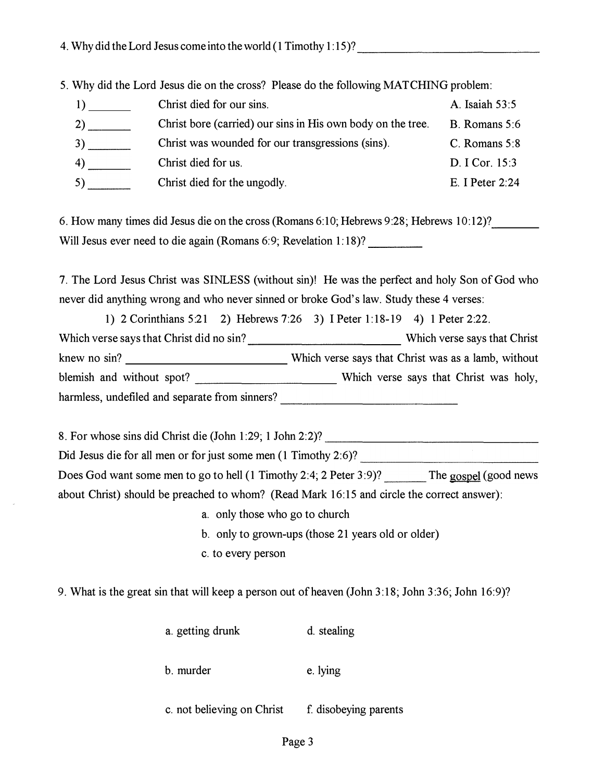5. Why did the Lord Jesus die on the cross? Please do the following MATCHING problem:

| 1) | Christ died for our sins.                                   | A. Isaiah 53:5    |
|----|-------------------------------------------------------------|-------------------|
| 2) | Christ bore (carried) our sins in His own body on the tree. | B. Romans $5:6$   |
| 3) | Christ was wounded for our transgressions (sins).           | C. Romans 5:8     |
| 4) | Christ died for us.                                         | D. I Cor. 15:3    |
| 5) | Christ died for the ungodly.                                | E. I Peter $2:24$ |

6. How many times did Jesus die on the cross (Romans 6:10; Hebrews 9:28; Hebrews 10:12)? Will Jesus ever need to die again (Romans 6:9; Revelation 1:18)?

7. The Lord Jesus Christ was SINLESS (without sin)! He was the perfect and holy Son of God who never did anything wrong and who never sinned or broke God's law. Study these 4 verses:

1) 2 Corinthians 5:21 2) Hebrews 7:26 3) I Peter 1: 18-19 4) 1 Peter 2:22. Which verse says that Christ did no sin? \_\_\_\_\_\_\_\_\_\_\_ Which verse says that Christ knew no sin? Which verse says that Christ was as a lamb, without blemish and without spot? Which verse says that Christ was holy, harmless, undefiled and separate from sinners? \_\_\_\_\_\_\_\_\_\_\_\_\_\_\_\_\_\_\_\_\_\_\_\_\_\_\_\_\_\_\_\_\_ 10; Hebrews 9:28; Hebrews 10:12)?<br>
He was the perfect and holy Son of God who<br>
E God's law. Study these 4 verses:<br>
I Peter 1:18-19 4) 1 Peter 2:22.<br>
Which verse says that Christ was as a lamb, without<br>
Which verse says th

8. For whose sins did Christ die (John 1 :29; 1 John 2:2)? Did Jesus die for all men or for just some men (1 Timothy 2:6)? Does God want some men to go to hell (1 Timothy 2:4; 2 Peter 3:9)? The gospel (good news about Christ) should be preached to whom? (Read Mark 16:15 and circle the correct answer):

- a. only those who go to church
- b. only to grown-ups (those 21 years old or older)
- c. to every person

9. What is the great sin that will keep a person out of heaven (John 3:18; John 3:36; John 16:9)?

| a. getting drunk | d. stealing |
|------------------|-------------|
| b. murder        | e. lying    |

c. not believing on Christ f. disobeying parents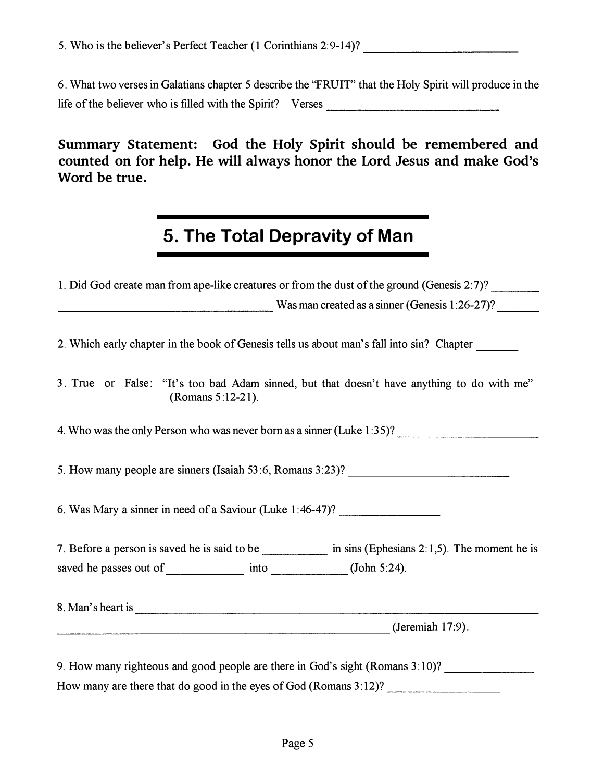# 5. The Total Depravity of Man

| 6. What two verses in Galatians chapter 5 describe the "FRUIT" that the Holy Spirit will produce in the                                                      |  |  |  |  |
|--------------------------------------------------------------------------------------------------------------------------------------------------------------|--|--|--|--|
| Summary Statement: God the Holy Spirit should be remembered and<br>counted on for help. He will always honor the Lord Jesus and make God's<br>Word be true.  |  |  |  |  |
| 5. The Total Depravity of Man                                                                                                                                |  |  |  |  |
| 1. Did God create man from ape-like creatures or from the dust of the ground (Genesis 2:7)?<br>$\frac{1}{26}$ Was man created as a sinner (Genesis 1:26-27)? |  |  |  |  |
| 2. Which early chapter in the book of Genesis tells us about man's fall into sin? Chapter                                                                    |  |  |  |  |
| 3. True or False: "It's too bad Adam sinned, but that doesn't have anything to do with me"<br>(Romans 5:12-21).                                              |  |  |  |  |
| 4. Who was the only Person who was never born as a sinner (Luke 1:35)?                                                                                       |  |  |  |  |
| 5. How many people are sinners (Isaiah 53:6, Romans 3:23)? ______________________                                                                            |  |  |  |  |
| 6. Was Mary a sinner in need of a Saviour (Luke 1:46-47)?                                                                                                    |  |  |  |  |
| 7. Before a person is saved he is said to be in sins (Ephesians 2:1,5). The moment he is                                                                     |  |  |  |  |
|                                                                                                                                                              |  |  |  |  |
|                                                                                                                                                              |  |  |  |  |
| $\frac{1}{2}$ (Jeremiah 17:9).                                                                                                                               |  |  |  |  |
| 9. How many righteous and good people are there in God's sight (Romans 3:10)? ______________________                                                         |  |  |  |  |
| How many are there that do good in the eyes of God (Romans 3:12)?                                                                                            |  |  |  |  |
|                                                                                                                                                              |  |  |  |  |
| Page 5                                                                                                                                                       |  |  |  |  |
|                                                                                                                                                              |  |  |  |  |
|                                                                                                                                                              |  |  |  |  |
|                                                                                                                                                              |  |  |  |  |
|                                                                                                                                                              |  |  |  |  |
|                                                                                                                                                              |  |  |  |  |
|                                                                                                                                                              |  |  |  |  |
|                                                                                                                                                              |  |  |  |  |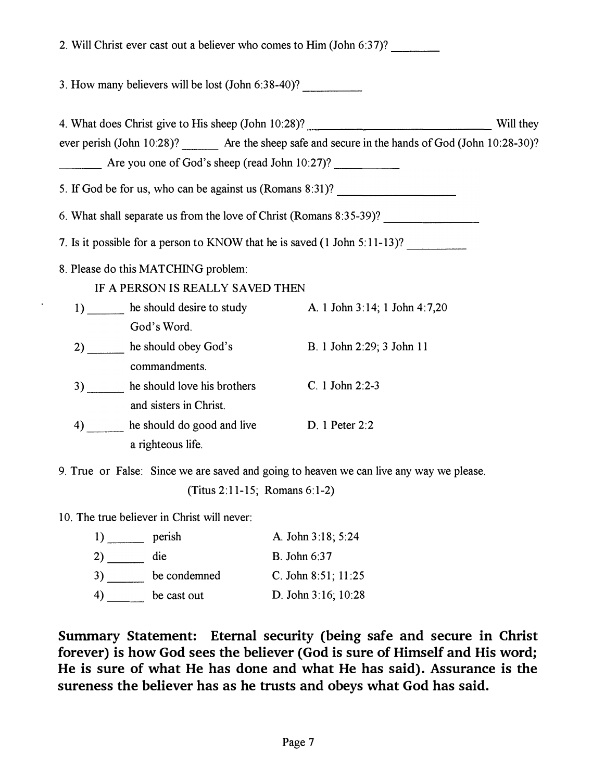| 2. Will Christ ever cast out a believer who comes to Him (John 6:37)?                                 |                               |           |
|-------------------------------------------------------------------------------------------------------|-------------------------------|-----------|
| 3. How many believers will be lost (John 6:38-40)?                                                    |                               |           |
| 4. What does Christ give to His sheep (John 10:28)? _____________________________                     |                               | Will they |
| ever perish (John 10:28)? ________ Are the sheep safe and secure in the hands of God (John 10:28-30)? |                               |           |
| Are you one of God's sheep (read John 10:27)?                                                         |                               |           |
| 5. If God be for us, who can be against us (Romans 8:31)?                                             |                               |           |
|                                                                                                       |                               |           |
| 7. Is it possible for a person to KNOW that he is saved (1 John 5:11-13)?                             |                               |           |
| 8. Please do this MATCHING problem:                                                                   |                               |           |
| IF A PERSON IS REALLY SAVED THEN                                                                      |                               |           |
| 1) he should desire to study                                                                          | A. 1 John 3:14; 1 John 4:7,20 |           |
| God's Word.                                                                                           |                               |           |
| 2) he should obey God's<br>commandments.                                                              | B. 1 John 2:29; 3 John 11     |           |
| he should love his brothers<br>3)                                                                     | C. 1 John 2:2-3               |           |
| and sisters in Christ.                                                                                |                               |           |
| he should do good and live<br>4)                                                                      | D. 1 Peter 2:2                |           |
| a righteous life.                                                                                     |                               |           |

9. True or False: Since we are saved and going to heaven we can live any way we please.

(Titus 2:11-15; Romans 6:1-2)

10. The true believer in Christ will never:

 $\bar{z}$ 

| $\left  \right $ | perish       | A. John 3:18; 5:24       |
|------------------|--------------|--------------------------|
| 2)               | die          | B. John 6:37             |
| 3)               | be condemned | C. John 8:51; $11:25$    |
| 4)               | be cast out  | D. John $3:16$ ; $10:28$ |

Summary Statement: Eternal security (being safe and secure in Christ forever) is how God sees the believer (God is sure of Himself and His word; He is sure of what He has done and what He has said). Assurance is the sureness the believer has as he trusts and obeys what God has said.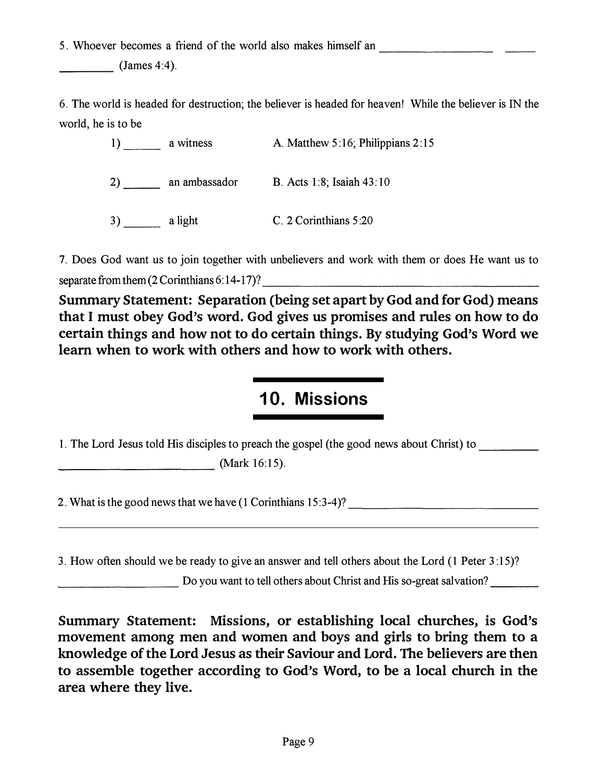5. Whoever becomes a friend of the world also makes himself an

----  $(James 4:4).$ 

aven! While the believe 6. The world is headed for destruction; the believer is headed for heaven! While the believer is IN the world, he is to be

| a witness     | A. Matthew 5:16; Philippians 2:15 |
|---------------|-----------------------------------|
| an ambassador | B. Acts 1:8; Isaiah 43:10         |
| a light       | C. 2 Corinthians 5:20             |

7. Does God want us to join together with unbelievers and work with them or does He want us to separate from them  $(2$  Corinthians 6:14-17)?

Summary Statement: Separation (being set apart by God and for God) means that I must obey God's word. God gives us promises and rules on how to do certain things and how not to do certain things. By studying God's Word we learn when to work with others and how to work with others.

#### 10. Missions

1. The Lord Jesus told His disciples to preach the gospel (the good news about Christ) to \_\_\_ \_ \_\_ (Mark 16:15). 1. The Lord Jesus told His<br>
2. What is the good news t

2. What is the good news that we have  $(1$  Corinthians  $15:3-4$ ?  $\qquad \qquad$ 

3. How often should we be ready to give an answer and tell others about the Lord (1 Peter 3:15)?

Do you want to tell others about Christ and His so-great salvation?

(Ma<br>
2. What is the good news that we have<br>
<br>
3. How often should we be ready to g<br>
Do you wan<br>
Summary Statement: Miss<br>
movement among men and<br>
knowledge of the Lord Jesus<br>
to assemble together accord<br>
area where they liv Summary Statement: Missions, or establishing local churches, is God's movement among men and women and boys and girls to bring them to a knowledge of the Lord Jesus as their Saviour and Lord. The believers are then to assemble together according to God's Word, to be a local church in the area where they live.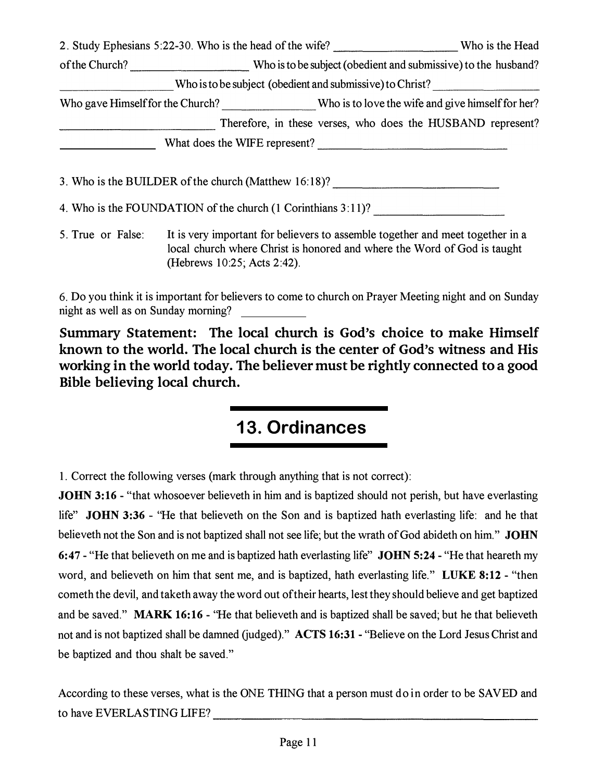|                                     | 2. Study Ephesians 5:22-30. Who is the head of the wife? ________________________ Who is the Head                                                                                         |  |  |
|-------------------------------------|-------------------------------------------------------------------------------------------------------------------------------------------------------------------------------------------|--|--|
|                                     | of the Church? _________________________Who is to be subject (obedient and submissive) to the husband?                                                                                    |  |  |
|                                     | Who is to be subject (obedient and submissive) to Christ?                                                                                                                                 |  |  |
|                                     | Who gave Himself for the Church? Who is to love the wife and give himself for her?                                                                                                        |  |  |
|                                     | Therefore, in these verses, who does the HUSBAND represent?                                                                                                                               |  |  |
|                                     | What does the WIFE represent?                                                                                                                                                             |  |  |
|                                     | 3. Who is the BUILDER of the church (Matthew 16:18)?                                                                                                                                      |  |  |
|                                     | 4. Who is the FOUNDATION of the church (1 Corinthians 3:11)?                                                                                                                              |  |  |
| 5. True or False:                   | It is very important for believers to assemble together and meet together in a<br>local church where Christ is honored and where the Word of God is taught<br>(Hebrews 10:25; Acts 2:42). |  |  |
| night as well as on Sunday morning? | 6. Do you think it is important for believers to come to church on Prayer Meeting night and on Sunday                                                                                     |  |  |

Summary Statement: The local church is God's choice to make Himself known to the world. The local church is the center of God's witness and His working in the world today. The believer must be rightly connected to a good Bible believing local church.

#### 13. Ordinances

1. Correct the following verses (mark through anything that is not correct):

JOHN 3:16 - "that whosoever believeth in him and is baptized should not perish, but have everlasting life" JOHN 3:36 - "He that believeth on the Son and is baptized hath everlasting life: and he that believeth not the Son and is not baptized shall not see life; but the wrath of God abideth on him." **JOHN** 6:47 - "He that believeth on me and is baptized hath everlasting life" JOHN 5:24 - "He that heareth my word, and believeth on him that sent me, and is baptized, hath everlasting life." LUKE 8:12 - "then cometh the devil, and taketh away the word out of their hearts, lest they should believe and get baptized and be saved." MARK 16:16 - "He that believeth and is baptized shall be saved; but he that believeth not and is not baptized shall be damned (judged)." ACTS 16:31 - "Believe on the Lord Jesus Christ and be baptized and thou shalt be saved." and The believer must be rightly connected to a good<br>
and the strategy connected to a good<br>
and the strategy and the strategy and the strategy and the strategy different in him and is baptized should not perish, but have e

According to these verses, what is the ONE THING that a person must do in order to be SAVED and to have EVERLASTING LIFE?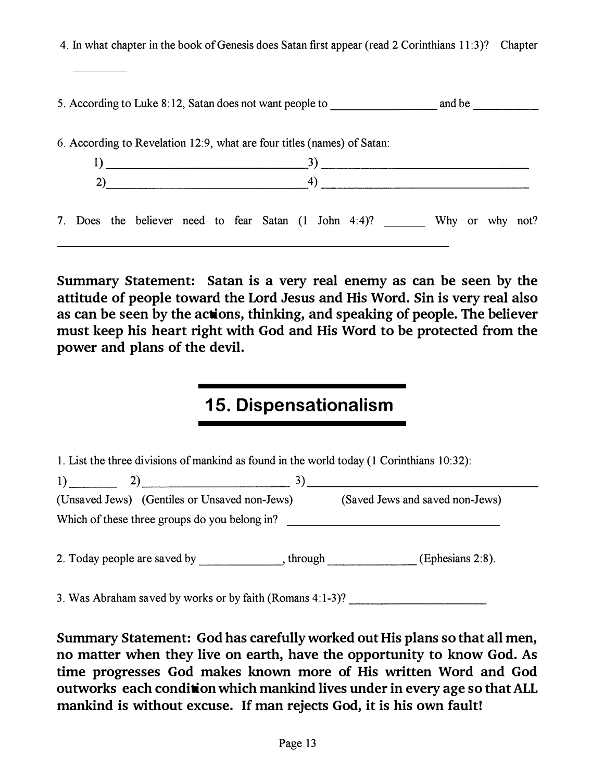4. In what chapter in the book of Genesis does Satan first appear (read 2 Corinthians 11 :3)? Chapter 4. In what chapter in the book of Genesis does Satan first appear (read 2 Corinthians 11:3)? Chapter<br>  $\overline{\hspace{2cm}}$ <br>
5. According to Luke 8:12, Satan does not want people to \_\_\_\_\_\_\_\_\_\_\_\_\_ and be \_\_\_\_\_\_\_\_\_\_\_\_\_\_\_\_\_\_\_\_\_\_\_\_\_\_\_ 6. According to Revelation 12:9, what are four titles (names) of Satan: 1) 3) \_\_\_\_\_\_\_\_\_\_\_ � \_\_\_\_\_\_\_\_\_\_\_\_  $2)$   $4)$   $4)$ 7. Does the believer need to fear Satan (1 John 4:4)? Why or why not?

Summary Statement: Satan is a very real enemy as can be seen by the attitude of people toward the Lord Jesus and His Word. Sin is very real also as can be seen by the actions, thinking, and speaking of people. The believer must keep his heart right with God and His Word to be protected from the power and plans of the devil.

## 15. Dispensationalism

1. List the three divisions of mankind as found in the world today (1 Corinthians 10:32): 1) \_\_ \_ 2) \_\_\_\_\_\_\_\_ 3) \_\_\_\_\_\_\_\_\_\_\_ \_ (Unsaved Jews) (Gentiles or Unsaved non-Jews) (Saved Jews and saved non-Jews) Which of these three groups do you belong in? 2. Today people are saved by \_\_\_\_ \_, through \_\_\_\_\_\_ (Ephesians 2:8).

3. Was Abraham saved by works or by faith (Romans  $4:1-3$ )?

Summary Statement: God has carefully worked out His plans so that all men, no matter when they live on earth, have the opportunity to know God. As time progresses God makes known more of His written Word and God outworks each condition which mankind lives under in every age so that ALL mankind is without excuse. If man rejects God, it is his own fault!